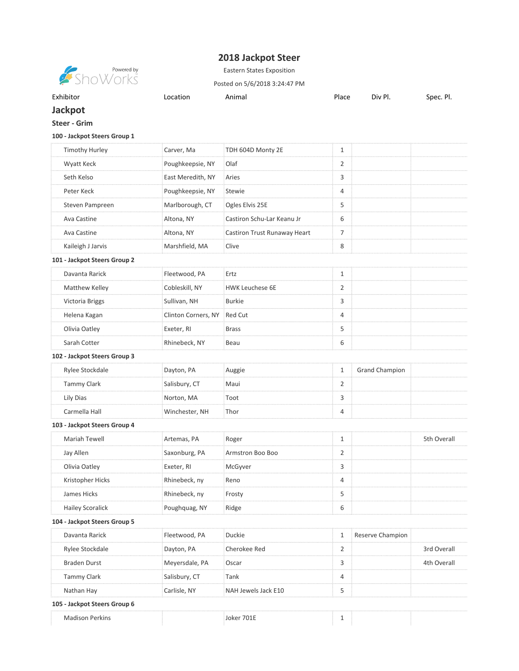## **2018 Jackpot Steer**



Eastern States Exposition

Posted on 5/6/2018 3:24:47 PM

| Exhibitor |  |  |
|-----------|--|--|
|           |  |  |
|           |  |  |
|           |  |  |

Exhibitor **Location** Animal **Place Div Pl. Spec. Pl.** Spec. Pl.

## **Jackpot Steer - Grim**

## **100 - Jackpot Steers Group 1**

| <b>Timothy Hurley</b>        | Carver, Ma          | TDH 604D Monty 2E            | $\mathbf{1}$ |                       |             |
|------------------------------|---------------------|------------------------------|--------------|-----------------------|-------------|
| Wyatt Keck                   | Poughkeepsie, NY    | Olaf                         | 2            |                       |             |
| Seth Kelso                   | East Meredith, NY   | Aries                        | 3            |                       |             |
| Peter Keck                   | Poughkeepsie, NY    | <b>Stewie</b>                | 4            |                       |             |
| Steven Pampreen              | Marlborough, CT     | Ogles Elvis 25E              | 5            |                       |             |
| Ava Castine                  | Altona, NY          | Castiron Schu-Lar Keanu Jr   | 6            |                       |             |
| Ava Castine                  | Altona, NY          | Castiron Trust Runaway Heart | 7            |                       |             |
| Kaileigh J Jarvis            | Marshfield, MA      | Clive                        | 8            |                       |             |
| 101 - Jackpot Steers Group 2 |                     |                              |              |                       |             |
| Davanta Rarick               | Fleetwood, PA       | Ertz                         | 1            |                       |             |
| Matthew Kelley               | Cobleskill, NY      | <b>HWK Leuchese 6E</b>       | 2            |                       |             |
| Victoria Briggs              | Sullivan, NH        | <b>Burkie</b>                | 3            |                       |             |
| Helena Kagan                 | Clinton Corners, NY | Red Cut                      | 4            |                       |             |
| Olivia Oatley                | Exeter, RI          | <b>Brass</b>                 | 5            |                       |             |
| Sarah Cotter                 | Rhinebeck, NY       | Beau                         | 6            |                       |             |
| 102 - Jackpot Steers Group 3 |                     |                              |              |                       |             |
| Rylee Stockdale              | Dayton, PA          | Auggie                       | $\mathbf{1}$ | <b>Grand Champion</b> |             |
| <b>Tammy Clark</b>           | Salisbury, CT       | Maui                         | 2            |                       |             |
| Lily Dias                    | Norton, MA          | Toot                         | 3            |                       |             |
| Carmella Hall                | Winchester, NH      | Thor                         | 4            |                       |             |
| 103 - Jackpot Steers Group 4 |                     |                              |              |                       |             |
| Mariah Tewell                | Artemas, PA         | Roger                        | $\mathbf{1}$ |                       | 5th Overall |
| Jay Allen                    | Saxonburg, PA       | Armstron Boo Boo             | 2            |                       |             |
| Olivia Oatley                | Exeter, RI          | McGyver                      | 3            |                       |             |
| Kristopher Hicks             | Rhinebeck, ny       | Reno                         | 4            |                       |             |
| James Hicks                  | Rhinebeck, ny       | Frosty                       | 5            |                       |             |
| <b>Hailey Scoralick</b>      | Poughquag, NY       | Ridge                        | 6            |                       |             |
| 104 - Jackpot Steers Group 5 |                     |                              |              |                       |             |
| Davanta Rarick               | Fleetwood, PA       | <b>Duckie</b>                | 1            | Reserve Champion      |             |
| Rylee Stockdale              | Dayton, PA          | Cherokee Red                 | 2            |                       | 3rd Overall |
| <b>Braden Durst</b>          | Meyersdale, PA      | Oscar                        | 3            |                       | 4th Overall |
| <b>Tammy Clark</b>           | Salisbury, CT       | Tank                         | 4            |                       |             |
| Nathan Hay                   | Carlisle, NY        | NAH Jewels Jack E10          | 5            |                       |             |
| 105 - Jackpot Steers Group 6 |                     |                              |              |                       |             |
| <b>Madison Perkins</b>       |                     | Joker 701E                   | 1            |                       |             |